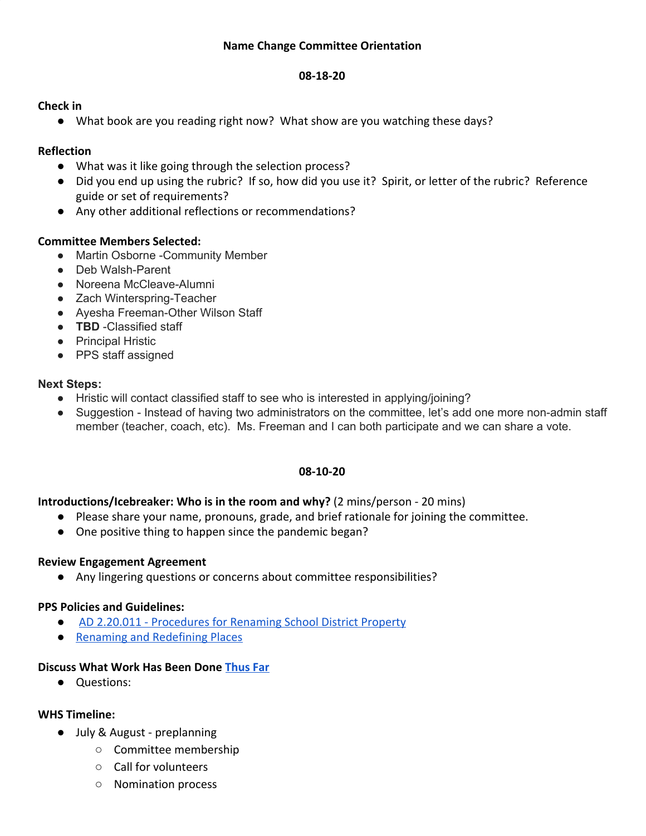#### **08-18-20**

#### **Check in**

● What book are you reading right now? What show are you watching these days?

## **Reflection**

- What was it like going through the selection process?
- Did you end up using the rubric? If so, how did you use it? Spirit, or letter of the rubric? Reference guide or set of requirements?
- Any other additional reflections or recommendations?

## **Committee Members Selected:**

- Martin Osborne -Community Member
- Deb Walsh-Parent
- Noreena McCleave-Alumni
- Zach Winterspring-Teacher
- Ayesha Freeman-Other Wilson Staff
- **TBD** -Classified staff
- Principal Hristic
- PPS staff assigned

# **Next Steps:**

- Hristic will contact classified staff to see who is interested in applying/joining?
- Suggestion Instead of having two administrators on the committee, let's add one more non-admin staff member (teacher, coach, etc). Ms. Freeman and I can both participate and we can share a vote.

## **08-10-20**

## **Introductions/Icebreaker: Who is in the room and why?** (2 mins/person - 20 mins)

- Please share your name, pronouns, grade, and brief rationale for joining the committee.
- One positive thing to happen since the pandemic began?

## **Review Engagement Agreement**

● Any lingering questions or concerns about committee responsibilities?

## **PPS Policies and Guidelines:**

- **●** [AD 2.20.011 Procedures for Renaming School District Property](https://www.pps.net/cms/lib/OR01913224/Centricity/Domain/4814/2.20.011-AD.pdf)
- [Renaming and Redefining Places](https://www.pps.net/cms/lib/OR01913224/Centricity/domain/219/board%20meeting%20materials/Renaming%20and%20Redefining%20PPS%20Places.pdf)

## **Discuss What Work Has Been Done [Thus Far](https://docs.google.com/document/d/162um_4DIh9SekUUZxq6Y65UgS9jwRyOWr0uJkchp9K0/edit?ts=5f21e21e)**

● Questions:

## **WHS Timeline:**

- July & August preplanning
	- Committee membership
	- Call for volunteers
	- Nomination process